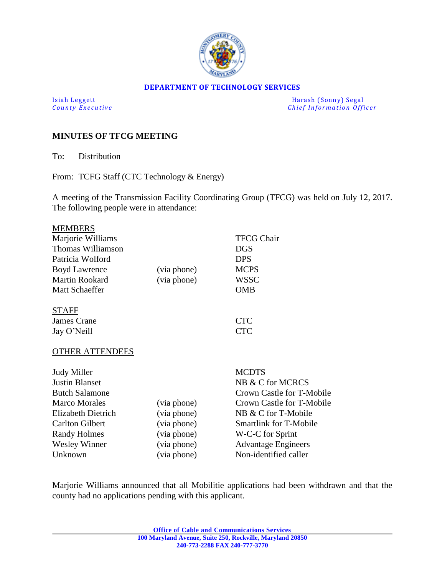

#### **DEPARTMENT OF TECHNOLOGY SERVICES**

Isiah Leggett Harash (Sonny) Segal<br>
County Executive County Executive Chief Information Officers *Chief Information Officer* 

# **MINUTES OF TFCG MEETING**

To: Distribution

From: TCFG Staff (CTC Technology & Energy)

A meeting of the Transmission Facility Coordinating Group (TFCG) was held on July 12, 2017. The following people were in attendance:

| <b>MEMBERS</b>         |             |                               |
|------------------------|-------------|-------------------------------|
| Marjorie Williams      |             | <b>TFCG Chair</b>             |
| Thomas Williamson      |             | <b>DGS</b>                    |
| Patricia Wolford       |             | <b>DPS</b>                    |
| <b>Boyd Lawrence</b>   | (via phone) | <b>MCPS</b>                   |
| <b>Martin Rookard</b>  | (via phone) | <b>WSSC</b>                   |
| Matt Schaeffer         |             | <b>OMB</b>                    |
| <b>STAFF</b>           |             |                               |
| James Crane            |             | <b>CTC</b>                    |
| Jay O'Neill            |             | <b>CTC</b>                    |
| <b>OTHER ATTENDEES</b> |             |                               |
| <b>Judy Miller</b>     |             | <b>MCDTS</b>                  |
| <b>Justin Blanset</b>  |             | NB & C for MCRCS              |
| <b>Butch Salamone</b>  |             | Crown Castle for T-Mobile     |
| <b>Marco Morales</b>   | (via phone) | Crown Castle for T-Mobile     |
| Elizabeth Dietrich     | (via phone) | NB & C for T-Mobile           |
| <b>Carlton Gilbert</b> | (via phone) | <b>Smartlink for T-Mobile</b> |
| <b>Randy Holmes</b>    | (via phone) | W-C-C for Sprint              |
| <b>Wesley Winner</b>   | (via phone) | <b>Advantage Engineers</b>    |
| Unknown                | (via phone) | Non-identified caller         |
|                        |             |                               |

Marjorie Williams announced that all Mobilitie applications had been withdrawn and that the county had no applications pending with this applicant.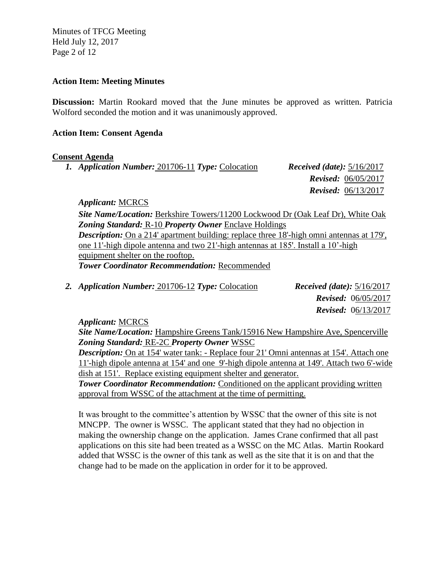Minutes of TFCG Meeting Held July 12, 2017 Page 2 of 12

## **Action Item: Meeting Minutes**

**Discussion:** Martin Rookard moved that the June minutes be approved as written. Patricia Wolford seconded the motion and it was unanimously approved.

## **Action Item: Consent Agenda**

#### **Consent Agenda**

| 1. Application Number: 201706-11 Type: Colocation | <i>Received (date):</i> $5/16/2017$ |
|---------------------------------------------------|-------------------------------------|
|                                                   | <b>Revised:</b> $06/05/2017$        |
|                                                   | <b>Revised:</b> $06/13/2017$        |

## *Applicant:* MCRCS

*Site Name/Location:* Berkshire Towers/11200 Lockwood Dr (Oak Leaf Dr), White Oak *Zoning Standard:* R-10 *Property Owner* Enclave Holdings *Description:* On a 214' apartment building: replace three 18'-high omni antennas at 179', one 11'-high dipole antenna and two 21'-high antennas at 185'. Install a 10'-high equipment shelter on the rooftop. *Tower Coordinator Recommendation:* Recommended

*2. Application Number:* 201706-12 *Type:* Colocation *Received (date):* 5/16/2017

 *Revised:* 06/05/2017  *Revised:* 06/13/2017

*Applicant:* MCRCS

*Site Name/Location:* Hampshire Greens Tank/15916 New Hampshire Ave, Spencerville *Zoning Standard:* RE-2C *Property Owner* WSSC *Description:* On at 154' water tank: - Replace four 21' Omni antennas at 154'. Attach one 11'-high dipole antenna at 154' and one 9'-high dipole antenna at 149'. Attach two 6'-wide dish at 151'. Replace existing equipment shelter and generator. **Tower Coordinator Recommendation:** Conditioned on the applicant providing written approval from WSSC of the attachment at the time of permitting.

It was brought to the committee's attention by WSSC that the owner of this site is not MNCPP. The owner is WSSC. The applicant stated that they had no objection in making the ownership change on the application. James Crane confirmed that all past applications on this site had been treated as a WSSC on the MC Atlas. Martin Rookard added that WSSC is the owner of this tank as well as the site that it is on and that the change had to be made on the application in order for it to be approved.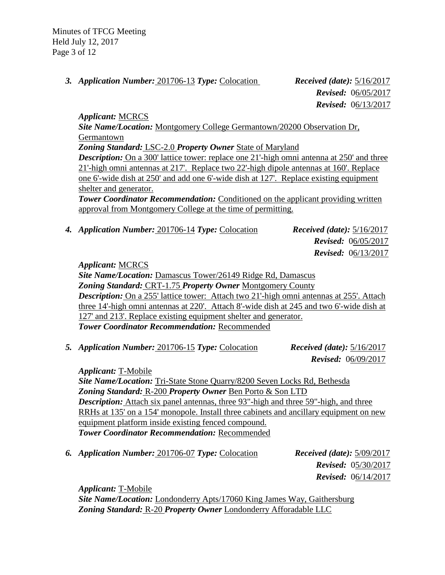Minutes of TFCG Meeting Held July 12, 2017 Page 3 of 12

*3. Application Number:* 201706-13 *Type:* Colocation *Received (date):* 5/16/2017

 *Revised:* 06/05/2017  *Revised:* 06/13/2017

*Applicant:* MCRCS *Site Name/Location:* Montgomery College Germantown/20200 Observation Dr, Germantown *Zoning Standard:* LSC-2.0 *Property Owner* State of Maryland *Description:* On a 300' lattice tower: replace one 21'-high omni antenna at 250' and three 21'-high omni antennas at 217'. Replace two 22'-high dipole antennas at 160'. Replace one 6'-wide dish at 250' and add one 6'-wide dish at 127'. Replace existing equipment shelter and generator. **Tower Coordinator Recommendation:** Conditioned on the applicant providing written

approval from Montgomery College at the time of permitting.

*4. Application Number:* 201706-14 *Type:* Colocation *Received (date):* 5/16/2017

 *Revised:* 06/05/2017  *Revised:* 06/13/2017

*Applicant:* MCRCS

*Site Name/Location:* Damascus Tower/26149 Ridge Rd, Damascus *Zoning Standard:* CRT-1.75 *Property Owner* Montgomery County *Description:* On a 255' lattice tower: Attach two 21'-high omni antennas at 255'. Attach three 14'-high omni antennas at 220'. Attach 8'-wide dish at 245 and two 6'-wide dish at 127' and 213'. Replace existing equipment shelter and generator. *Tower Coordinator Recommendation:* Recommended

*5. Application Number:* 201706-15 *Type:* Colocation *Received (date):* 5/16/2017

 *Revised:* 06/09/2017

*Applicant:* T-Mobile

*Site Name/Location:* Tri-State Stone Quarry/8200 Seven Locks Rd, Bethesda *Zoning Standard:* R-200 *Property Owner* Ben Porto & Son LTD *Description:* Attach six panel antennas, three 93"-high and three 59"-high, and three RRHs at 135' on a 154' monopole. Install three cabinets and ancillary equipment on new equipment platform inside existing fenced compound. *Tower Coordinator Recommendation:* Recommended

*6. Application Number:* 201706-07 *Type:* Colocation *Received (date):* 5/09/2017  *Revised:* 05/30/2017  *Revised:* 06/14/2017

*Applicant:* T-Mobile *Site Name/Location:* Londonderry Apts/17060 King James Way, Gaithersburg *Zoning Standard:* R-20 *Property Owner* Londonderry Afforadable LLC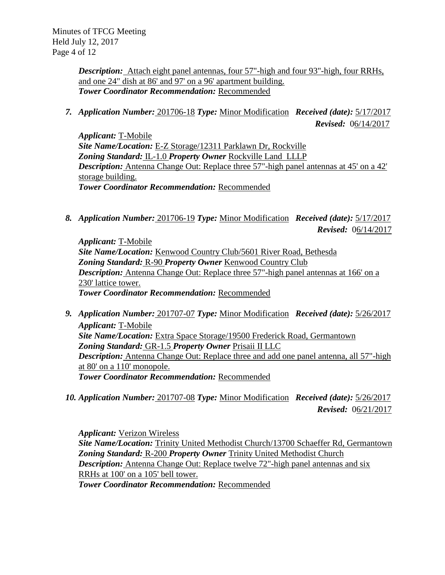Minutes of TFCG Meeting Held July 12, 2017 Page 4 of 12

> *Description:* Attach eight panel antennas, four 57"-high and four 93"-high, four RRHs, and one 24" dish at 86' and 97' on a 96' apartment building. *Tower Coordinator Recommendation:* Recommended

*7. Application Number:* 201706-18 *Type:* Minor Modification *Received (date):* 5/17/2017  *Revised:* 06/14/2017

*Applicant:* T-Mobile *Site Name/Location:* E-Z Storage/12311 Parklawn Dr, Rockville *Zoning Standard:* IL-1.0 *Property Owner* Rockville Land LLLP *Description:* Antenna Change Out: Replace three 57"-high panel antennas at 45' on a 42' storage building. *Tower Coordinator Recommendation:* Recommended

*8. Application Number:* 201706-19 *Type:* Minor Modification *Received (date):* 5/17/2017 *Revised:* 06/14/2017

*Applicant:* T-Mobile *Site Name/Location:* Kenwood Country Club/5601 River Road, Bethesda *Zoning Standard:* R-90 *Property Owner* Kenwood Country Club *Description:* Antenna Change Out: Replace three 57"-high panel antennas at 166' on a 230' lattice tower. *Tower Coordinator Recommendation:* Recommended

- *9. Application Number:* 201707-07 *Type:* Minor Modification *Received (date):* 5/26/2017 *Applicant:* T-Mobile *Site Name/Location:* Extra Space Storage/19500 Frederick Road, Germantown *Zoning Standard:* GR-1.5 *Property Owner* Prisaii II LLC *Description:* Antenna Change Out: Replace three and add one panel antenna, all 57"-high at 80' on a 110' monopole. *Tower Coordinator Recommendation:* Recommended
- *10. Application Number:* 201707-08 *Type:* Minor Modification *Received (date):* 5/26/2017 *Revised:* 06/21/2017

*Applicant:* Verizon Wireless *Site Name/Location:* Trinity United Methodist Church/13700 Schaeffer Rd, Germantown *Zoning Standard:* R-200 *Property Owner* Trinity United Methodist Church *Description:* Antenna Change Out: Replace twelve 72"-high panel antennas and six RRHs at 100' on a 105' bell tower. *Tower Coordinator Recommendation:* Recommended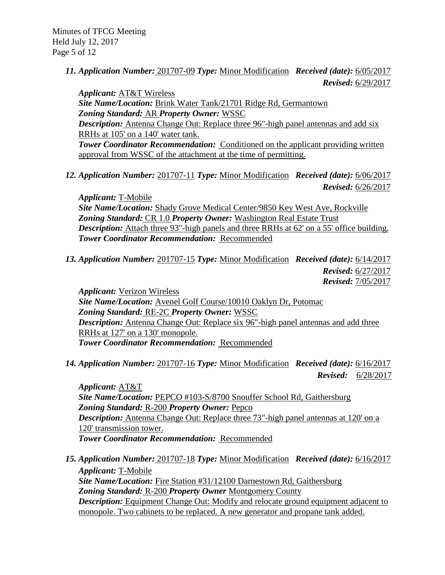Minutes of TFCG Meeting Held July 12, 2017 Page 5 of 12

> *11. Application Number:* 201707-09 *Type:* Minor Modification *Received (date):* 6/05/2017  *Revised:* 6/29/2017

*Applicant:* AT&T Wireless *Site Name/Location:* Brink Water Tank/21701 Ridge Rd, Germantown *Zoning Standard:* AR *Property Owner:* WSSC *Description:* Antenna Change Out: Replace three 96"-high panel antennas and add six RRHs at 105' on a 140' water tank. **Tower Coordinator Recommendation:** Conditioned on the applicant providing written approval from WSSC of the attachment at the time of permitting.

*12. Application Number:* 201707-11 *Type:* Minor Modification *Received (date):* 6/06/2017  *Revised:* 6/26/2017

*Applicant:* T-Mobile *Site Name/Location:* Shady Grove Medical Center/9850 Key West Ave, Rockville *Zoning Standard:* CR 1.0 *Property Owner:* Washington Real Estate Trust *Description:* Attach three 93"-high panels and three RRHs at 62' on a 55' office building. *Tower Coordinator Recommendation:* Recommended

*13. Application Number:* 201707-15 *Type:* Minor Modification *Received (date):* 6/14/2017  *Revised:* 6/27/2017  *Revised:* 7/05/2017

*Applicant:* Verizon Wireless *Site Name/Location:* Avenel Golf Course/10010 Oaklyn Dr, Potomac *Zoning Standard:* RE-2C *Property Owner:* WSSC *Description:* Antenna Change Out: Replace six 96"-high panel antennas and add three RRHs at 127' on a 130' monopole. *Tower Coordinator Recommendation:* Recommended

*14. Application Number:* 201707-16 *Type:* Minor Modification *Received (date):* 6/16/2017 *Revised:* 6/28/2017

*Applicant:* AT&T *Site Name/Location:* PEPCO #103-S/8700 Snouffer School Rd, Gaithersburg *Zoning Standard:* R-200 *Property Owner:* Pepco *Description:* Antenna Change Out: Replace three 73"-high panel antennas at 120' on a 120' transmission tower. *Tower Coordinator Recommendation:* Recommended

*15. Application Number:* 201707-18 *Type:* Minor Modification *Received (date):* 6/16/2017 *Applicant:* T-Mobile *Site Name/Location:* Fire Station #31/12100 Darnestown Rd, Gaithersburg *Zoning Standard:* R-200 *Property Owner* Montgomery County *Description:* Equipment Change Out: Modify and relocate ground equipment adjacent to monopole. Two cabinets to be replaced. A new generator and propane tank added.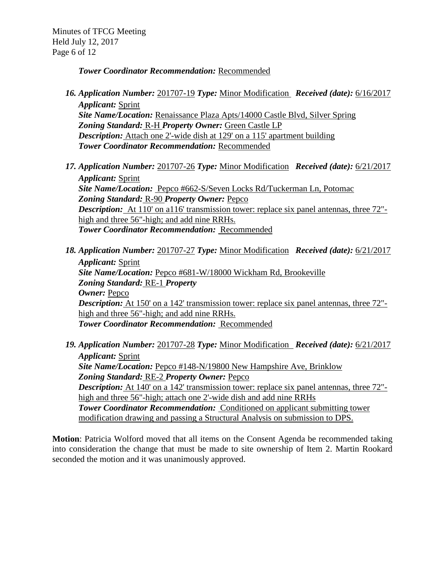*Tower Coordinator Recommendation:* Recommended

*16. Application Number:* 201707-19 *Type:* Minor Modification *Received (date):* 6/16/2017

*Applicant:* Sprint *Site Name/Location:* Renaissance Plaza Apts/14000 Castle Blvd, Silver Spring *Zoning Standard:* R-H *Property Owner:* Green Castle LP *Description:* Attach one 2'-wide dish at 129' on a 115' apartment building *Tower Coordinator Recommendation:* Recommended

*17. Application Number:* 201707-26 *Type:* Minor Modification *Received (date):* 6/21/2017 *Applicant:* Sprint

*Site Name/Location:* Pepco #662-S/Seven Locks Rd/Tuckerman Ln, Potomac *Zoning Standard:* R-90 *Property Owner:* Pepco *Description:* At 110' on a116' transmission tower: replace six panel antennas, three 72"high and three 56"-high; and add nine RRHs. *Tower Coordinator Recommendation:* Recommended

- *18. Application Number:* 201707-27 *Type:* Minor Modification *Received (date):* 6/21/2017 *Applicant:* Sprint *Site Name/Location:* Pepco #681-W/18000 Wickham Rd, Brookeville *Zoning Standard:* RE-1 *Property Owner:* Pepco *Description:* At 150' on a 142' transmission tower: replace six panel antennas, three 72"high and three 56"-high; and add nine RRHs. *Tower Coordinator Recommendation:* Recommended
- *19. Application Number:* 201707-28 *Type:* Minor Modification *Received (date):* 6/21/2017 *Applicant:* Sprint *Site Name/Location:* Pepco #148-N/19800 New Hampshire Ave, Brinklow *Zoning Standard:* RE-2 *Property Owner:* Pepco *Description:* At 140' on a 142' transmission tower: replace six panel antennas, three 72"high and three 56"-high; attach one 2'-wide dish and add nine RRHs **Tower Coordinator Recommendation:** Conditioned on applicant submitting tower modification drawing and passing a Structural Analysis on submission to DPS.

**Motion**: Patricia Wolford moved that all items on the Consent Agenda be recommended taking into consideration the change that must be made to site ownership of Item 2. Martin Rookard seconded the motion and it was unanimously approved.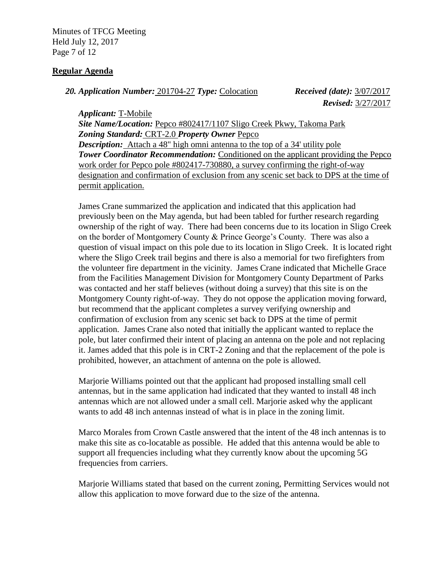Minutes of TFCG Meeting Held July 12, 2017 Page 7 of 12

## **Regular Agenda**

*20. Application Number:* 201704-27 *Type:* Colocation *Received (date):* 3/07/2017

*Revised:* 3/27/2017

*Applicant:* T-Mobile

*Site Name/Location:* Pepco #802417/1107 Sligo Creek Pkwy, Takoma Park *Zoning Standard:* CRT-2.0 *Property Owner* Pepco *Description:* Attach a 48" high omni antenna to the top of a 34' utility pole *Tower Coordinator Recommendation:* Conditioned on the applicant providing the Pepco work order for Pepco pole #802417-730880, a survey confirming the right-of-way designation and confirmation of exclusion from any scenic set back to DPS at the time of permit application.

James Crane summarized the application and indicated that this application had previously been on the May agenda, but had been tabled for further research regarding ownership of the right of way. There had been concerns due to its location in Sligo Creek on the border of Montgomery County & Prince George's County. There was also a question of visual impact on this pole due to its location in Sligo Creek. It is located right where the Sligo Creek trail begins and there is also a memorial for two firefighters from the volunteer fire department in the vicinity. James Crane indicated that Michelle Grace from the Facilities Management Division for Montgomery County Department of Parks was contacted and her staff believes (without doing a survey) that this site is on the Montgomery County right-of-way. They do not oppose the application moving forward, but recommend that the applicant completes a survey verifying ownership and confirmation of exclusion from any scenic set back to DPS at the time of permit application. James Crane also noted that initially the applicant wanted to replace the pole, but later confirmed their intent of placing an antenna on the pole and not replacing it. James added that this pole is in CRT-2 Zoning and that the replacement of the pole is prohibited, however, an attachment of antenna on the pole is allowed.

Marjorie Williams pointed out that the applicant had proposed installing small cell antennas, but in the same application had indicated that they wanted to install 48 inch antennas which are not allowed under a small cell. Marjorie asked why the applicant wants to add 48 inch antennas instead of what is in place in the zoning limit.

Marco Morales from Crown Castle answered that the intent of the 48 inch antennas is to make this site as co-locatable as possible. He added that this antenna would be able to support all frequencies including what they currently know about the upcoming 5G frequencies from carriers.

Marjorie Williams stated that based on the current zoning, Permitting Services would not allow this application to move forward due to the size of the antenna.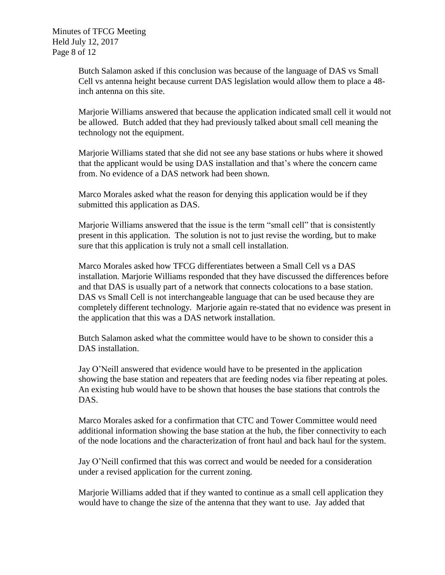Minutes of TFCG Meeting Held July 12, 2017 Page 8 of 12

> Butch Salamon asked if this conclusion was because of the language of DAS vs Small Cell vs antenna height because current DAS legislation would allow them to place a 48 inch antenna on this site.

Marjorie Williams answered that because the application indicated small cell it would not be allowed. Butch added that they had previously talked about small cell meaning the technology not the equipment.

Marjorie Williams stated that she did not see any base stations or hubs where it showed that the applicant would be using DAS installation and that's where the concern came from. No evidence of a DAS network had been shown.

Marco Morales asked what the reason for denying this application would be if they submitted this application as DAS.

Marjorie Williams answered that the issue is the term "small cell" that is consistently present in this application. The solution is not to just revise the wording, but to make sure that this application is truly not a small cell installation.

Marco Morales asked how TFCG differentiates between a Small Cell vs a DAS installation. Marjorie Williams responded that they have discussed the differences before and that DAS is usually part of a network that connects colocations to a base station. DAS vs Small Cell is not interchangeable language that can be used because they are completely different technology. Marjorie again re-stated that no evidence was present in the application that this was a DAS network installation.

Butch Salamon asked what the committee would have to be shown to consider this a DAS installation.

Jay O'Neill answered that evidence would have to be presented in the application showing the base station and repeaters that are feeding nodes via fiber repeating at poles. An existing hub would have to be shown that houses the base stations that controls the DAS.

Marco Morales asked for a confirmation that CTC and Tower Committee would need additional information showing the base station at the hub, the fiber connectivity to each of the node locations and the characterization of front haul and back haul for the system.

Jay O'Neill confirmed that this was correct and would be needed for a consideration under a revised application for the current zoning.

Marjorie Williams added that if they wanted to continue as a small cell application they would have to change the size of the antenna that they want to use. Jay added that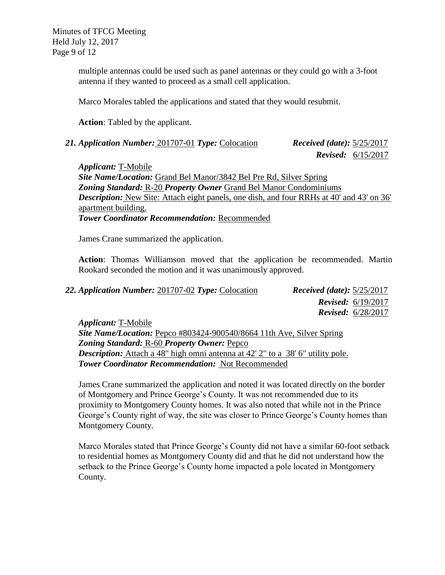Minutes of TFCG Meeting Held July 12, 2017 Page 9 of 12

> multiple antennas could be used such as panel antennas or they could go with a 3-foot antenna if they wanted to proceed as a small cell application.

Marco Morales tabled the applications and stated that they would resubmit.

**Action**: Tabled by the applicant.

*21. Application Number:* 201707-01 *Type:* Colocation *Received (date):* 5/25/2017

 *Revised:* 6/15/2017

*Applicant:* T-Mobile *Site Name/Location:* Grand Bel Manor/3842 Bel Pre Rd, Silver Spring *Zoning Standard:* R-20 *Property Owner* Grand Bel Manor Condominiums *Description:* New Site: Attach eight panels, one dish, and four RRHs at 40' and 43' on 36' apartment building. *Tower Coordinator Recommendation:* Recommended

James Crane summarized the application.

**Action**: Thomas Williamson moved that the application be recommended. Martin Rookard seconded the motion and it was unanimously approved.

| 22. Application Number: 201707-02 Type: Colocation | <i>Received (date):</i> $5/25/2017$ |  |  |
|----------------------------------------------------|-------------------------------------|--|--|
|                                                    | <b>Revised:</b> $6/19/2017$         |  |  |
|                                                    | <b>Revised:</b> $6/28/2017$         |  |  |
| <i>Applicant:</i> T-Mobile                         |                                     |  |  |

*Site Name/Location:* Pepco #803424-900540/8664 11th Ave, Silver Spring *Zoning Standard:* R-60 *Property Owner:* Pepco *Description:* Attach a 48" high omni antenna at 42' 2" to a 38' 6" utility pole. *Tower Coordinator Recommendation:* Not Recommended

James Crane summarized the application and noted it was located directly on the border of Montgomery and Prince George's County. It was not recommended due to its proximity to Montgomery County homes. It was also noted that while not in the Prince George's County right of way, the site was closer to Prince George's County homes than Montgomery County.

Marco Morales stated that Prince George's County did not have a similar 60-foot setback to residential homes as Montgomery County did and that he did not understand how the setback to the Prince George's County home impacted a pole located in Montgomery County.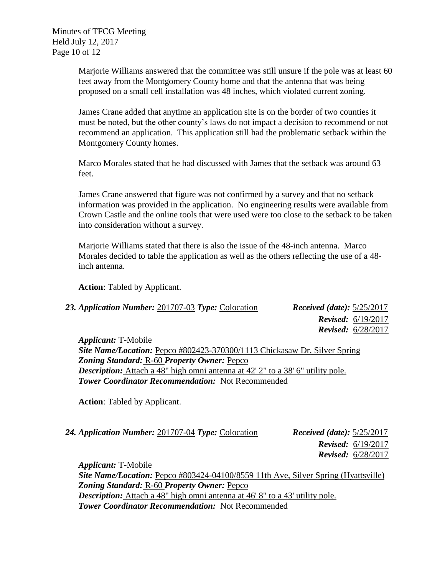Minutes of TFCG Meeting Held July 12, 2017 Page 10 of 12

> Marjorie Williams answered that the committee was still unsure if the pole was at least 60 feet away from the Montgomery County home and that the antenna that was being proposed on a small cell installation was 48 inches, which violated current zoning.

James Crane added that anytime an application site is on the border of two counties it must be noted, but the other county's laws do not impact a decision to recommend or not recommend an application. This application still had the problematic setback within the Montgomery County homes.

Marco Morales stated that he had discussed with James that the setback was around 63 feet.

James Crane answered that figure was not confirmed by a survey and that no setback information was provided in the application. No engineering results were available from Crown Castle and the online tools that were used were too close to the setback to be taken into consideration without a survey.

Marjorie Williams stated that there is also the issue of the 48-inch antenna. Marco Morales decided to table the application as well as the others reflecting the use of a 48 inch antenna.

**Action**: Tabled by Applicant.

| 23. Application Number: 201707-03 Type: Colocation | <i>Received (date):</i> $5/25/2017$ |
|----------------------------------------------------|-------------------------------------|
|                                                    | <b>Revised:</b> $6/19/2017$         |
|                                                    | <b>Revised:</b> $6/28/2017$         |

*Applicant:* T-Mobile *Site Name/Location:* Pepco #802423-370300/1113 Chickasaw Dr, Silver Spring *Zoning Standard:* R-60 *Property Owner:* Pepco *Description:* Attach a 48" high omni antenna at 42' 2" to a 38' 6" utility pole. *Tower Coordinator Recommendation:* Not Recommended

**Action**: Tabled by Applicant.

*24. Application Number:* 201707-04 *Type:* Colocation *Received (date):* 5/25/2017

 *Revised:* 6/19/2017  *Revised:* 6/28/2017

*Applicant:* T-Mobile *Site Name/Location:* Pepco #803424-04100/8559 11th Ave, Silver Spring (Hyattsville) *Zoning Standard:* R-60 *Property Owner:* Pepco *Description:* Attach a 48" high omni antenna at 46' 8" to a 43' utility pole. *Tower Coordinator Recommendation:* Not Recommended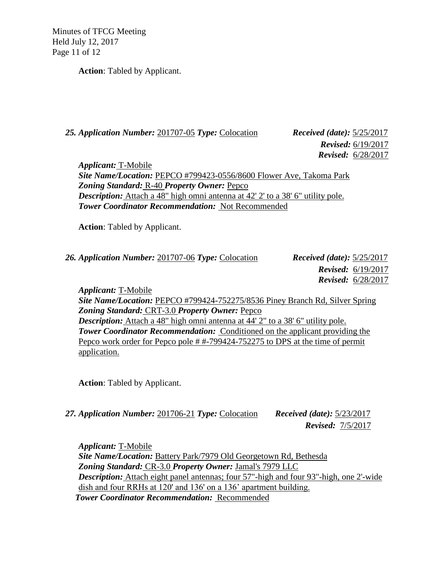Minutes of TFCG Meeting Held July 12, 2017 Page 11 of 12

**Action**: Tabled by Applicant.

*25. Application Number:* 201707-05 *Type:* Colocation *Received (date):* 5/25/2017

 *Revised:* 6/19/2017  *Revised:* 6/28/2017

*Applicant:* T-Mobile *Site Name/Location:* PEPCO #799423-0556/8600 Flower Ave, Takoma Park *Zoning Standard:* R-40 *Property Owner:* Pepco *Description:* Attach a 48" high omni antenna at 42' 2' to a 38' 6" utility pole. *Tower Coordinator Recommendation:* Not Recommended

**Action**: Tabled by Applicant.

|  | 26. Application Number: 201707-06 Type: Colocation |  |
|--|----------------------------------------------------|--|
|  |                                                    |  |

*26. Application Number:* 201707-06 *Type:* Colocation *Received (date):* 5/25/2017  *Revised:* 6/19/2017  *Revised:* 6/28/2017

*Applicant:* T-Mobile

*Site Name/Location:* PEPCO #799424-752275/8536 Piney Branch Rd, Silver Spring *Zoning Standard:* CRT-3.0 *Property Owner:* Pepco *Description:* Attach a 48" high omni antenna at 44' 2" to a 38' 6" utility pole. **Tower Coordinator Recommendation:** Conditioned on the applicant providing the Pepco work order for Pepco pole # #-799424-752275 to DPS at the time of permit application.

**Action**: Tabled by Applicant.

*27. Application Number:* 201706-21 *Type:* Colocation *Received (date):* 5/23/2017  *Revised:* 7/5/2017

*Applicant:* T-Mobile *Site Name/Location:* Battery Park/7979 Old Georgetown Rd, Bethesda *Zoning Standard:* CR-3.0 *Property Owner:* Jamal's 7979 LLC *Description:* Attach eight panel antennas; four 57"-high and four 93"-high, one 2'-wide dish and four RRHs at 120' and 136' on a 136' apartment building. *Tower Coordinator Recommendation:* Recommended